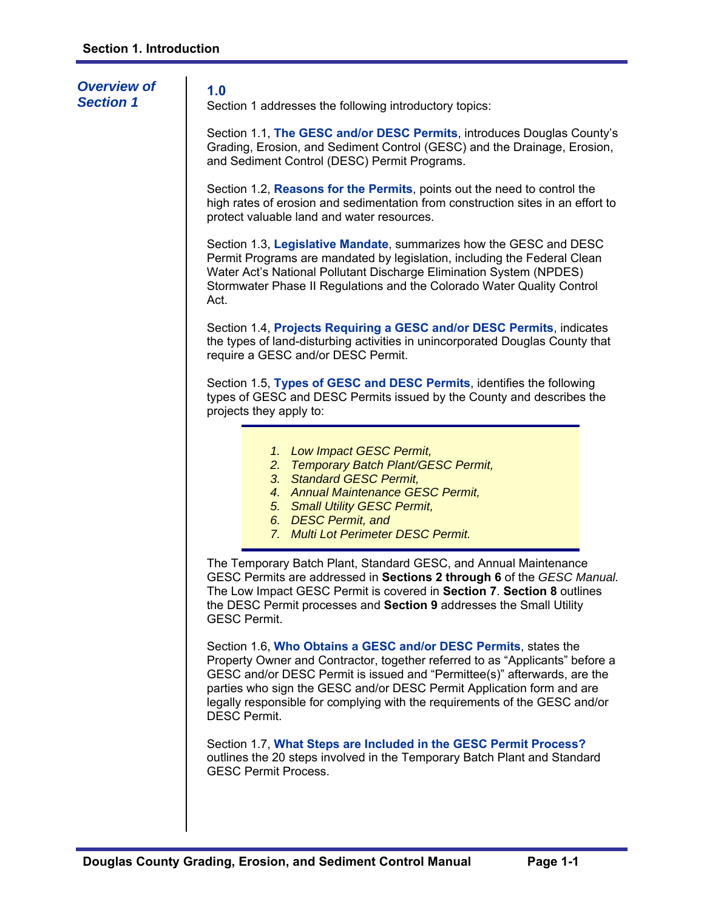| <b>Overview of</b><br><b>Section 1</b> | 1.0<br>Section 1 addresses the following introductory topics:                                                                                                                                                                                                                                                                                                                                             |
|----------------------------------------|-----------------------------------------------------------------------------------------------------------------------------------------------------------------------------------------------------------------------------------------------------------------------------------------------------------------------------------------------------------------------------------------------------------|
|                                        | Section 1.1, The GESC and/or DESC Permits, introduces Douglas County's<br>Grading, Erosion, and Sediment Control (GESC) and the Drainage, Erosion,<br>and Sediment Control (DESC) Permit Programs.                                                                                                                                                                                                        |
|                                        | Section 1.2, Reasons for the Permits, points out the need to control the<br>high rates of erosion and sedimentation from construction sites in an effort to<br>protect valuable land and water resources.                                                                                                                                                                                                 |
|                                        | Section 1.3, Legislative Mandate, summarizes how the GESC and DESC<br>Permit Programs are mandated by legislation, including the Federal Clean<br>Water Act's National Pollutant Discharge Elimination System (NPDES)<br>Stormwater Phase II Regulations and the Colorado Water Quality Control<br>Act.                                                                                                   |
|                                        | Section 1.4, Projects Requiring a GESC and/or DESC Permits, indicates<br>the types of land-disturbing activities in unincorporated Douglas County that<br>require a GESC and/or DESC Permit.                                                                                                                                                                                                              |
|                                        | Section 1.5, Types of GESC and DESC Permits, identifies the following<br>types of GESC and DESC Permits issued by the County and describes the<br>projects they apply to:                                                                                                                                                                                                                                 |
|                                        | 1. Low Impact GESC Permit,<br>2. Temporary Batch Plant/GESC Permit,<br>3. Standard GESC Permit,<br>4. Annual Maintenance GESC Permit,<br>5. Small Utility GESC Permit,<br>6. DESC Permit, and<br>7. Multi Lot Perimeter DESC Permit.                                                                                                                                                                      |
|                                        | The Temporary Batch Plant, Standard GESC, and Annual Maintenance<br>GESC Permits are addressed in Sections 2 through 6 of the GESC Manual.<br>The Low Impact GESC Permit is covered in Section 7. Section 8 outlines<br>the DESC Permit processes and Section 9 addresses the Small Utility<br><b>GESC Permit.</b>                                                                                        |
|                                        | Section 1.6, Who Obtains a GESC and/or DESC Permits, states the<br>Property Owner and Contractor, together referred to as "Applicants" before a<br>GESC and/or DESC Permit is issued and "Permittee(s)" afterwards, are the<br>parties who sign the GESC and/or DESC Permit Application form and are<br>legally responsible for complying with the requirements of the GESC and/or<br><b>DESC Permit.</b> |
|                                        | Section 1.7, What Steps are Included in the GESC Permit Process?<br>outlines the 20 steps involved in the Temporary Batch Plant and Standard<br><b>GESC Permit Process.</b>                                                                                                                                                                                                                               |
|                                        |                                                                                                                                                                                                                                                                                                                                                                                                           |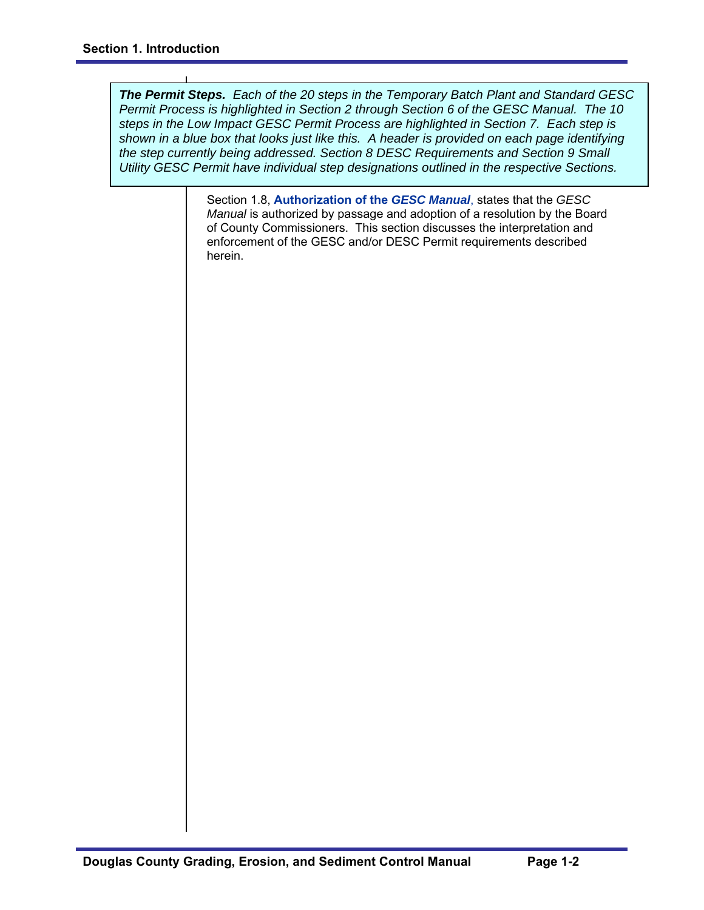*The Permit Steps. Each of the 20 steps in the Temporary Batch Plant and Standard GESC Permit Process is highlighted in Section 2 through Section 6 of the GESC Manual. The 10 steps in the Low Impact GESC Permit Process are highlighted in Section 7. Each step is shown in a blue box that looks just like this. A header is provided on each page identifying the step currently being addressed. Section 8 DESC Requirements and Section 9 Small Utility GESC Permit have individual step designations outlined in the respective Sections.* 

> Section 1.8, **Authorization of the** *GESC Manual*, states that the *GESC Manual* is authorized by passage and adoption of a resolution by the Board of County Commissioners. This section discusses the interpretation and enforcement of the GESC and/or DESC Permit requirements described herein.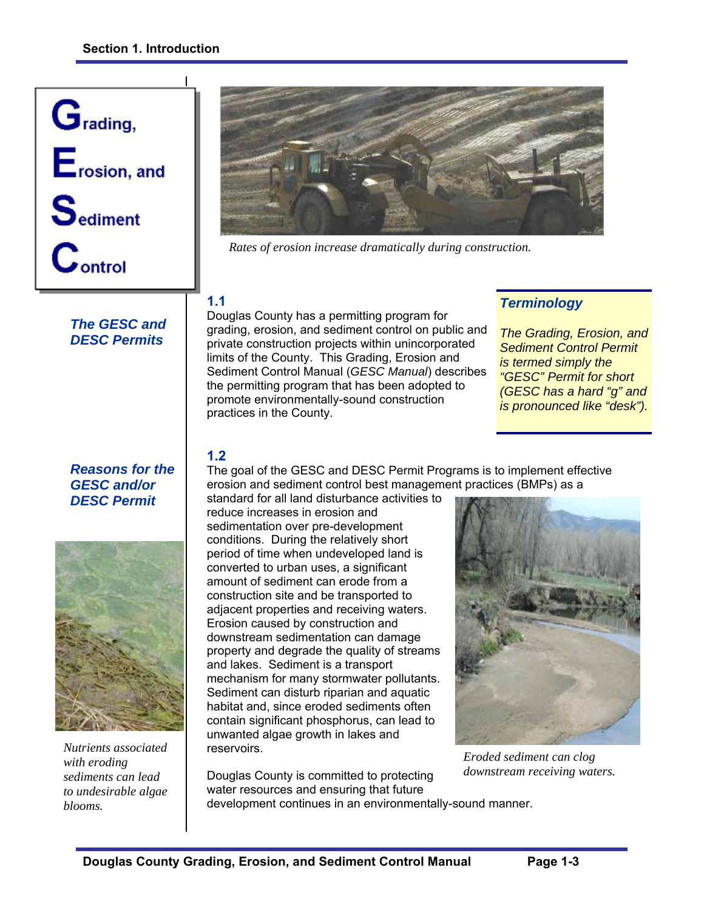

# *The GESC and DESC Permits*

*Reasons for the GESC and/or DESC Permit* 



*Nutrients associated with eroding sediments can lead to undesirable algae blooms.* 



*Rates of erosion increase dramatically during construction.* 

## **1.1**

Douglas County has a permitting program for grading, erosion, and sediment control on public and private construction projects within unincorporated limits of the County. This Grading, Erosion and Sediment Control Manual (*GESC Manual*) describes the permitting program that has been adopted to promote environmentally-sound construction practices in the County.

# *Terminology*

*The Grading, Erosion, and Sediment Control Permit is termed simply the "GESC" Permit for short (GESC has a hard "g" and is pronounced like "desk").*

# **1.2**

The goal of the GESC and DESC Permit Programs is to implement effective erosion and sediment control best management practices (BMPs) as a

standard for all land disturbance activities to reduce increases in erosion and sedimentation over pre-development conditions. During the relatively short period of time when undeveloped land is converted to urban uses, a significant amount of sediment can erode from a construction site and be transported to adjacent properties and receiving waters. Erosion caused by construction and downstream sedimentation can damage property and degrade the quality of streams and lakes. Sediment is a transport mechanism for many stormwater pollutants. Sediment can disturb riparian and aquatic habitat and, since eroded sediments often contain significant phosphorus, can lead to unwanted algae growth in lakes and reservoirs.



*Eroded sediment can clog downstream receiving waters.*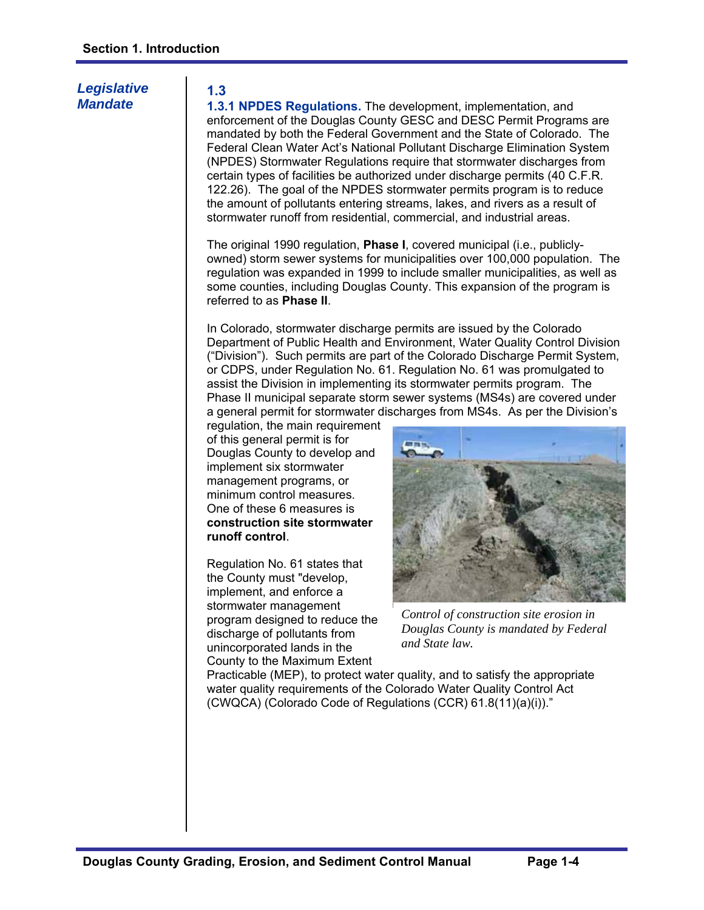# *Legislative Mandate*

## **1.3**

**1.3.1 NPDES Regulations.** The development, implementation, and enforcement of the Douglas County GESC and DESC Permit Programs are mandated by both the Federal Government and the State of Colorado. The Federal Clean Water Act's National Pollutant Discharge Elimination System (NPDES) Stormwater Regulations require that stormwater discharges from certain types of facilities be authorized under discharge permits (40 C.F.R. 122.26). The goal of the NPDES stormwater permits program is to reduce the amount of pollutants entering streams, lakes, and rivers as a result of stormwater runoff from residential, commercial, and industrial areas.

The original 1990 regulation, **Phase I**, covered municipal (i.e., publiclyowned) storm sewer systems for municipalities over 100,000 population. The regulation was expanded in 1999 to include smaller municipalities, as well as some counties, including Douglas County. This expansion of the program is referred to as **Phase II**.

In Colorado, stormwater discharge permits are issued by the Colorado Department of Public Health and Environment, Water Quality Control Division ("Division"). Such permits are part of the Colorado Discharge Permit System, or CDPS, under Regulation No. 61. Regulation No. 61 was promulgated to assist the Division in implementing its stormwater permits program. The Phase II municipal separate storm sewer systems (MS4s) are covered under a general permit for stormwater discharges from MS4s. As per the Division's

regulation, the main requirement of this general permit is for Douglas County to develop and implement six stormwater management programs, or minimum control measures. One of these 6 measures is **construction site stormwater runoff control**.

Regulation No. 61 states that the County must "develop, implement, and enforce a stormwater management program designed to reduce the discharge of pollutants from unincorporated lands in the County to the Maximum Extent



*Control of construction site erosion in Douglas County is mandated by Federal and State law.* 

Practicable (MEP), to protect water quality, and to satisfy the appropriate water quality requirements of the Colorado Water Quality Control Act (CWQCA) (Colorado Code of Regulations (CCR) 61.8(11)(a)(i))."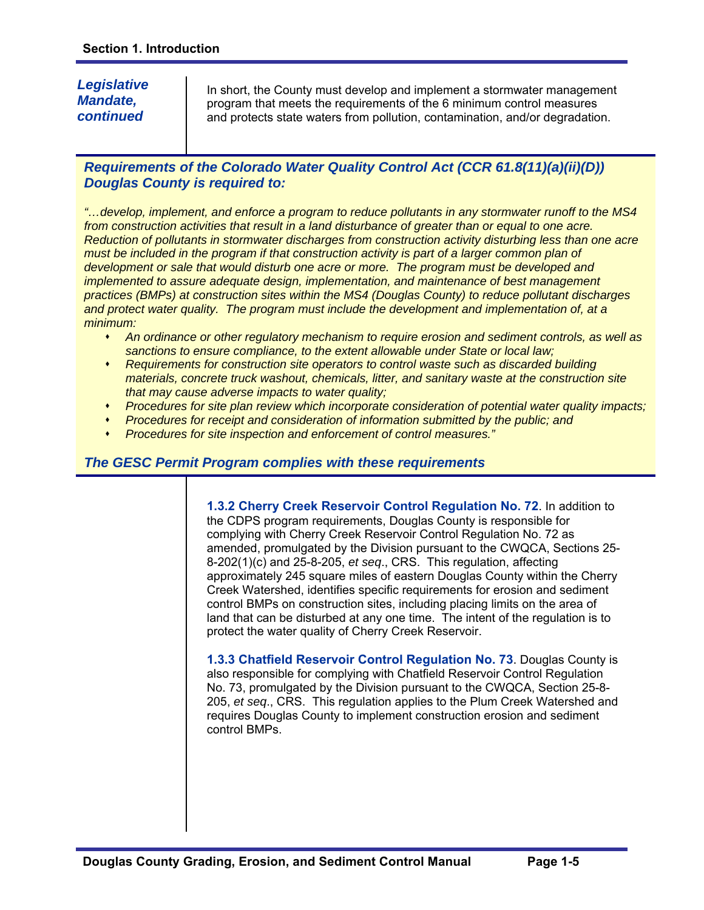# *Legislative Mandate, continued*

In short, the County must develop and implement a stormwater management program that meets the requirements of the 6 minimum control measures and protects state waters from pollution, contamination, and/or degradation.

# *Requirements of the Colorado Water Quality Control Act (CCR 61.8(11)(a)(ii)(D)) Douglas County is required to:*

*"…develop, implement, and enforce a program to reduce pollutants in any stormwater runoff to the MS4 from construction activities that result in a land disturbance of greater than or equal to one acre. Reduction of pollutants in stormwater discharges from construction activity disturbing less than one acre*  must be included in the program if that construction activity is part of a larger common plan of *development or sale that would disturb one acre or more. The program must be developed and implemented to assure adequate design, implementation, and maintenance of best management practices (BMPs) at construction sites within the MS4 (Douglas County) to reduce pollutant discharges*  and protect water quality. The program must include the development and implementation of, at a *minimum:* 

- *An ordinance or other regulatory mechanism to require erosion and sediment controls, as well as sanctions to ensure compliance, to the extent allowable under State or local law;*
- *Requirements for construction site operators to control waste such as discarded building materials, concrete truck washout, chemicals, litter, and sanitary waste at the construction site that may cause adverse impacts to water quality;*
- *Procedures for site plan review which incorporate consideration of potential water quality impacts;*
- *Procedures for receipt and consideration of information submitted by the public; and*
- *Procedures for site inspection and enforcement of control measures."*

## *The GESC Permit Program complies with these requirements*

**1.3.2 Cherry Creek Reservoir Control Regulation No. 72**. In addition to the CDPS program requirements, Douglas County is responsible for complying with Cherry Creek Reservoir Control Regulation No. 72 as amended, promulgated by the Division pursuant to the CWQCA, Sections 25- 8-202(1)(c) and 25-8-205, *et seq*., CRS. This regulation, affecting approximately 245 square miles of eastern Douglas County within the Cherry Creek Watershed, identifies specific requirements for erosion and sediment control BMPs on construction sites, including placing limits on the area of land that can be disturbed at any one time. The intent of the regulation is to protect the water quality of Cherry Creek Reservoir.

**1.3.3 Chatfield Reservoir Control Regulation No. 73**. Douglas County is also responsible for complying with Chatfield Reservoir Control Regulation No. 73, promulgated by the Division pursuant to the CWQCA, Section 25-8- 205, *et seq*., CRS. This regulation applies to the Plum Creek Watershed and requires Douglas County to implement construction erosion and sediment control BMPs.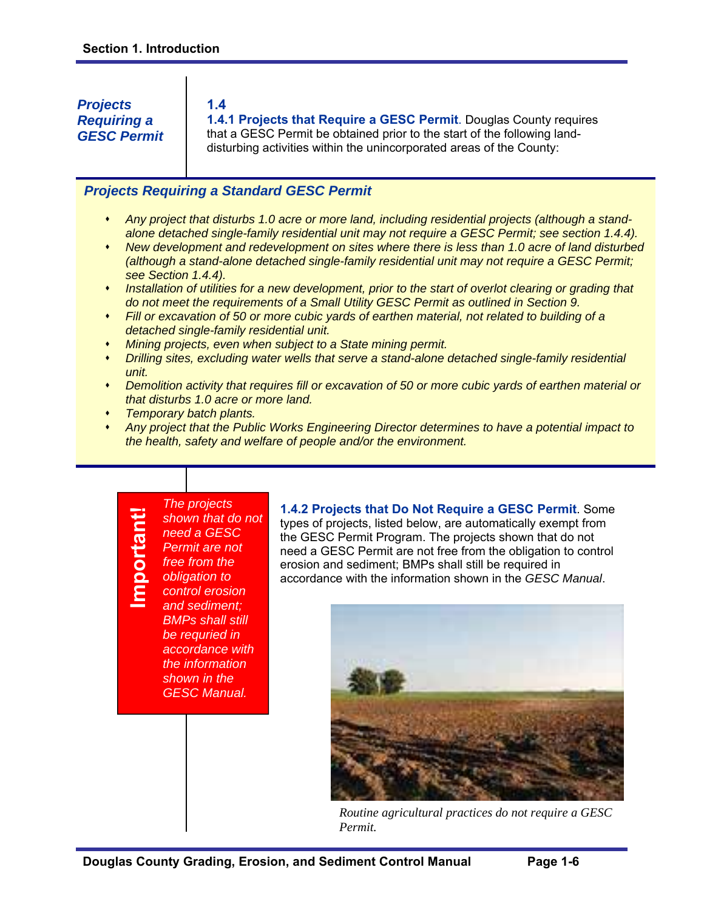*Projects Requiring a GESC Permit* 

#### **1.4**

**1.4.1 Projects that Require a GESC Permit**. Douglas County requires that a GESC Permit be obtained prior to the start of the following landdisturbing activities within the unincorporated areas of the County:

## *Projects Requiring a Standard GESC Permit*

- *Any project that disturbs 1.0 acre or more land, including residential projects (although a standalone detached single-family residential unit may not require a GESC Permit; see section 1.4.4).*
- *New development and redevelopment on sites where there is less than 1.0 acre of land disturbed (although a stand-alone detached single-family residential unit may not require a GESC Permit; see Section 1.4.4).*
- **Installation of utilities for a new development, prior to the start of overlot clearing or grading that** *do not meet the requirements of a Small Utility GESC Permit as outlined in Section 9.*
- *Fill or excavation of 50 or more cubic yards of earthen material, not related to building of a detached single-family residential unit.*
- *Mining projects, even when subject to a State mining permit.*
- *Drilling sites, excluding water wells that serve a stand-alone detached single-family residential unit.*
- *Demolition activity that requires fill or excavation of 50 or more cubic yards of earthen material or that disturbs 1.0 acre or more land.*
- *Temporary batch plants.*
- *Any project that the Public Works Engineering Director determines to have a potential impact to the health, safety and welfare of people and/or the environment.*

## *The projects shown that do not need a GESC Permit are not free from the obligation to control erosion and sediment; BMPs shall still be requried in accordance with the information shown in the GESC Manual.*

<u>E</u>

**portant!** 

**1.4.2 Projects that Do Not Require a GESC Permit**. Some types of projects, listed below, are automatically exempt from the GESC Permit Program. The projects shown that do not need a GESC Permit are not free from the obligation to control erosion and sediment; BMPs shall still be required in accordance with the information shown in the *GESC Manual*.



*Routine agricultural practices do not require a GESC Permit.*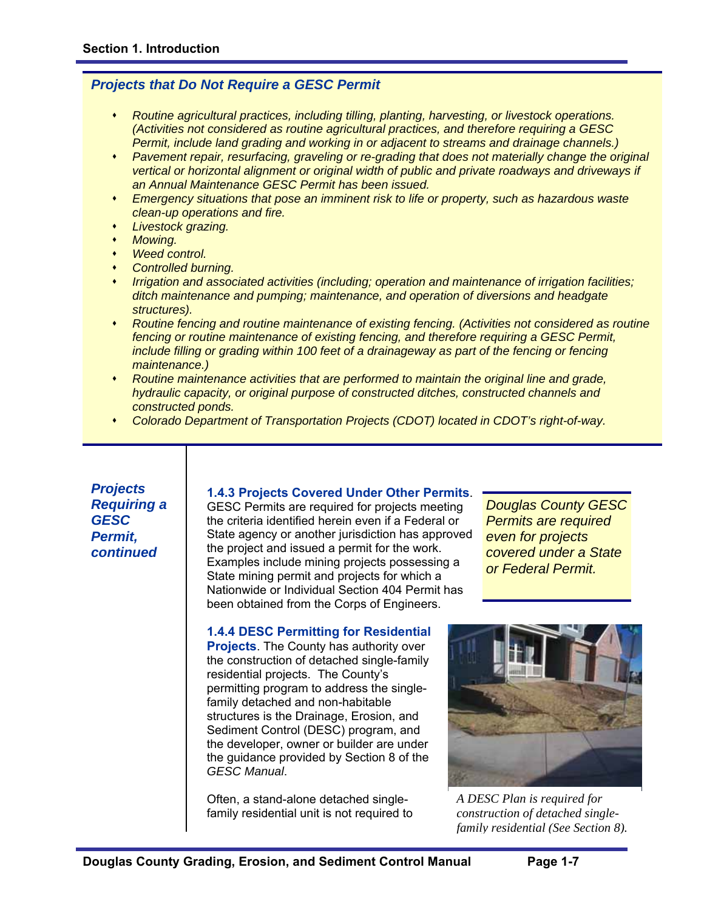## *Projects that Do Not Require a GESC Permit*

- *Routine agricultural practices, including tilling, planting, harvesting, or livestock operations. (Activities not considered as routine agricultural practices, and therefore requiring a GESC Permit, include land grading and working in or adjacent to streams and drainage channels.)*
- *Pavement repair, resurfacing, graveling or re-grading that does not materially change the original vertical or horizontal alignment or original width of public and private roadways and driveways if an Annual Maintenance GESC Permit has been issued.*
- *Emergency situations that pose an imminent risk to life or property, such as hazardous waste clean-up operations and fire.*
- *Livestock grazing.*
- *Mowing.*
- *Weed control.*
- *Controlled burning.*
- *Irrigation and associated activities (including; operation and maintenance of irrigation facilities; ditch maintenance and pumping; maintenance, and operation of diversions and headgate structures).*
- *Routine fencing and routine maintenance of existing fencing. (Activities not considered as routine fencing or routine maintenance of existing fencing, and therefore requiring a GESC Permit, include filling or grading within 100 feet of a drainageway as part of the fencing or fencing maintenance.)*
- *Routine maintenance activities that are performed to maintain the original line and grade, hydraulic capacity, or original purpose of constructed ditches, constructed channels and constructed ponds.*
- *Colorado Department of Transportation Projects (CDOT) located in CDOT's right-of-way.*

*Projects Requiring a GESC Permit, continued* 

## **1.4.3 Projects Covered Under Other Permits**.

GESC Permits are required for projects meeting the criteria identified herein even if a Federal or State agency or another jurisdiction has approved the project and issued a permit for the work. Examples include mining projects possessing a State mining permit and projects for which a Nationwide or Individual Section 404 Permit has been obtained from the Corps of Engineers.

**1.4.4 DESC Permitting for Residential Projects**. The County has authority over the construction of detached single-family residential projects. The County's permitting program to address the singlefamily detached and non-habitable structures is the Drainage, Erosion, and Sediment Control (DESC) program, and the developer, owner or builder are under the guidance provided by Section 8 of the *GESC Manual*.

Often, a stand-alone detached singlefamily residential unit is not required to *Douglas County GESC Permits are required even for projects covered under a State or Federal Permit.* 



*A DESC Plan is required for construction of detached singlefamily residential (See Section 8).*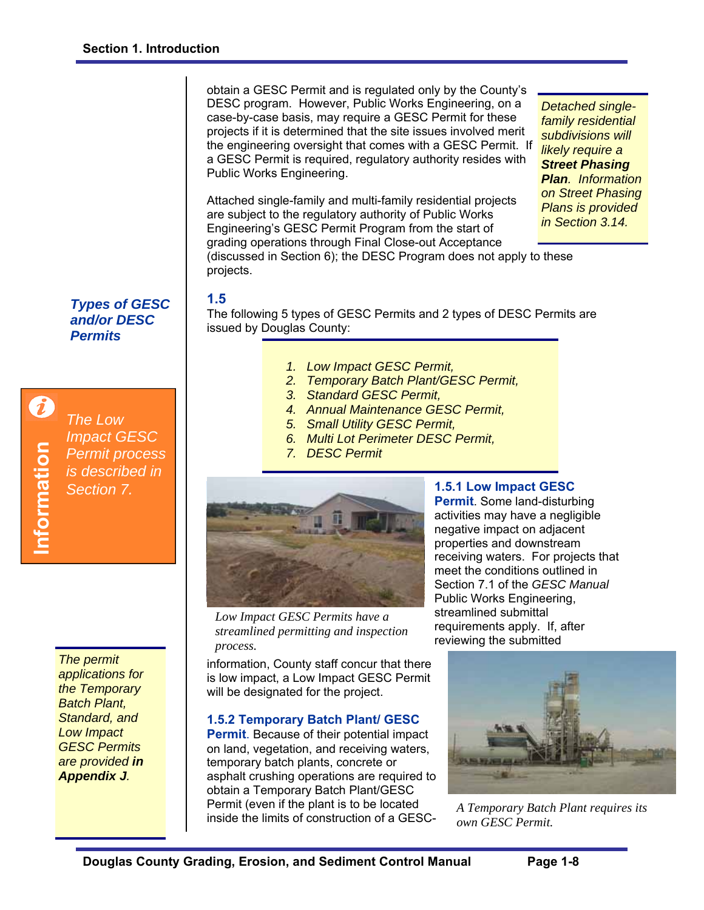obtain a GESC Permit and is regulated only by the County's DESC program. However, Public Works Engineering, on a case-by-case basis, may require a GESC Permit for these projects if it is determined that the site issues involved merit the engineering oversight that comes with a GESC Permit. If a GESC Permit is required, regulatory authority resides with Public Works Engineering.

*Detached singlefamily residential subdivisions will likely require a Street Phasing Plan. Information on Street Phasing Plans is provided in Section 3.14.* 

Attached single-family and multi-family residential projects are subject to the regulatory authority of Public Works Engineering's GESC Permit Program from the start of grading operations through Final Close-out Acceptance

(discussed in Section 6); the DESC Program does not apply to these projects.

# *Types of GESC*

*and/or DESC Permits* 

*The Low Impact GESC Permit process is described in Section 7.* 

*The permit applications for the Temporary Batch Plant, Standard, and Low Impact GESC Permits are provided in Appendix J.* 

# **1.5**

The following 5 types of GESC Permits and 2 types of DESC Permits are issued by Douglas County:

- *1. Low Impact GESC Permit,*
- *2. Temporary Batch Plant/GESC Permit,*
- *3. Standard GESC Permit,*
- *4. Annual Maintenance GESC Permit,*
- *5. Small Utility GESC Permit,*
- *6. Multi Lot Perimeter DESC Permit,*
- *7. DESC Permit*



*Low Impact GESC Permits have a streamlined permitting and inspection process.* 

information, County staff concur that there is low impact, a Low Impact GESC Permit will be designated for the project.

## **1.5.2 Temporary Batch Plant/ GESC**

**Permit**. Because of their potential impact on land, vegetation, and receiving waters, temporary batch plants, concrete or asphalt crushing operations are required to obtain a Temporary Batch Plant/GESC Permit (even if the plant is to be located inside the limits of construction of a GESC-

# **1.5.1 Low Impact GESC**

**Permit**. Some land-disturbing activities may have a negligible negative impact on adjacent properties and downstream receiving waters. For projects that meet the conditions outlined in Section 7.1 of the *GESC Manual* Public Works Engineering, streamlined submittal requirements apply. If, after reviewing the submitted



*A Temporary Batch Plant requires its own GESC Permit.*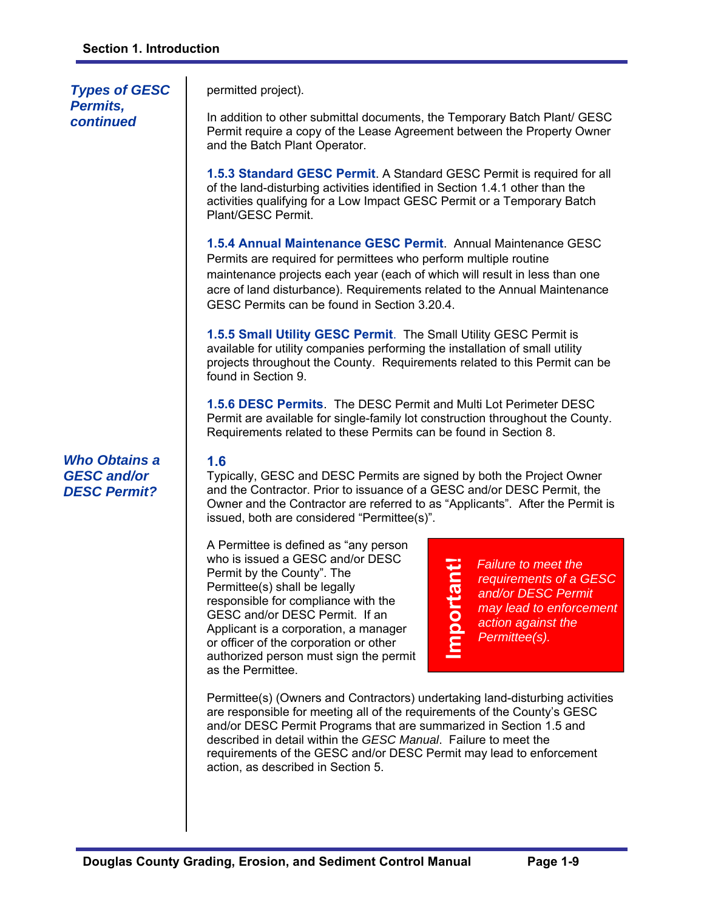*Types of GESC Permits, continued* 

permitted project).

In addition to other submittal documents, the Temporary Batch Plant/ GESC Permit require a copy of the Lease Agreement between the Property Owner and the Batch Plant Operator.

**1.5.3 Standard GESC Permit**. A Standard GESC Permit is required for all of the land-disturbing activities identified in Section 1.4.1 other than the activities qualifying for a Low Impact GESC Permit or a Temporary Batch Plant/GESC Permit.

**1.5.4 Annual Maintenance GESC Permit**. Annual Maintenance GESC Permits are required for permittees who perform multiple routine maintenance projects each year (each of which will result in less than one acre of land disturbance). Requirements related to the Annual Maintenance GESC Permits can be found in Section 3.20.4.

**1.5.5 Small Utility GESC Permit**. The Small Utility GESC Permit is available for utility companies performing the installation of small utility projects throughout the County. Requirements related to this Permit can be found in Section 9.

**1.5.6 DESC Permits**. The DESC Permit and Multi Lot Perimeter DESC Permit are available for single-family lot construction throughout the County. Requirements related to these Permits can be found in Section 8.

## **1.6**

Typically, GESC and DESC Permits are signed by both the Project Owner and the Contractor. Prior to issuance of a GESC and/or DESC Permit, the Owner and the Contractor are referred to as "Applicants". After the Permit is issued, both are considered "Permittee(s)".

**Important!** 

Important!

A Permittee is defined as "any person who is issued a GESC and/or DESC Permit by the County". The Permittee(s) shall be legally responsible for compliance with the GESC and/or DESC Permit. If an Applicant is a corporation, a manager or officer of the corporation or other authorized person must sign the permit as the Permittee.

*Failure to meet the requirements of a GESC and/or DESC Permit may lead to enforcement action against the Permittee(s).* 

Permittee(s) (Owners and Contractors) undertaking land-disturbing activities are responsible for meeting all of the requirements of the County's GESC and/or DESC Permit Programs that are summarized in Section 1.5 and described in detail within the *GESC Manual*. Failure to meet the requirements of the GESC and/or DESC Permit may lead to enforcement action, as described in Section 5.

*Who Obtains a GESC and/or DESC Permit?*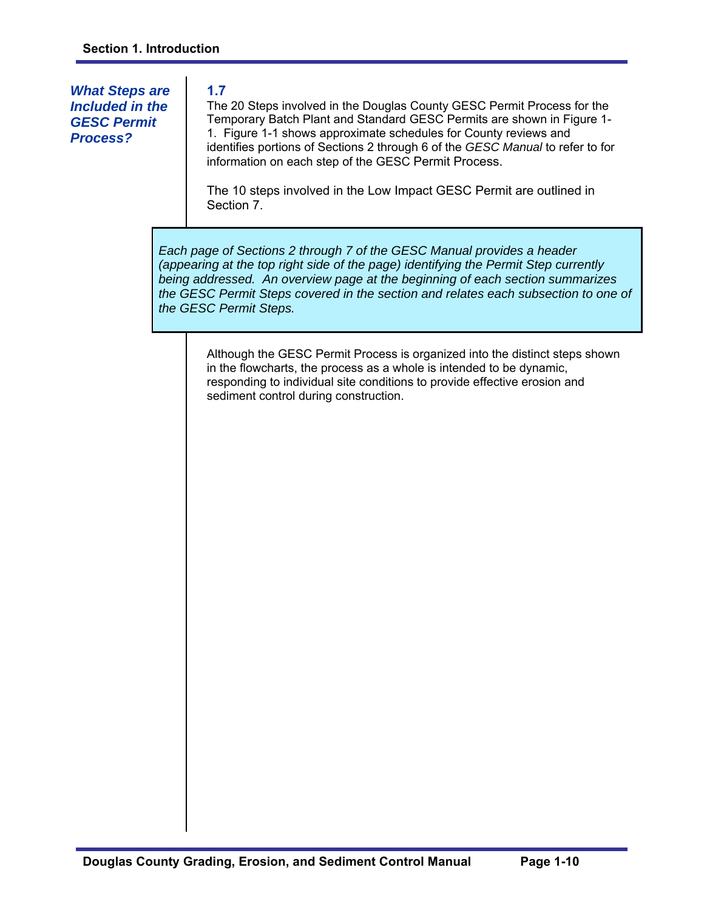# *What Steps are Included in the GESC Permit Process?*

# **1.7**

The 20 Steps involved in the Douglas County GESC Permit Process for the Temporary Batch Plant and Standard GESC Permits are shown in Figure 1- 1. Figure 1-1 shows approximate schedules for County reviews and identifies portions of Sections 2 through 6 of the *GESC Manual* to refer to for information on each step of the GESC Permit Process.

The 10 steps involved in the Low Impact GESC Permit are outlined in Section 7.

*Each page of Sections 2 through 7 of the GESC Manual provides a header (appearing at the top right side of the page) identifying the Permit Step currently being addressed. An overview page at the beginning of each section summarizes the GESC Permit Steps covered in the section and relates each subsection to one of the GESC Permit Steps.* 

Although the GESC Permit Process is organized into the distinct steps shown in the flowcharts, the process as a whole is intended to be dynamic, responding to individual site conditions to provide effective erosion and sediment control during construction.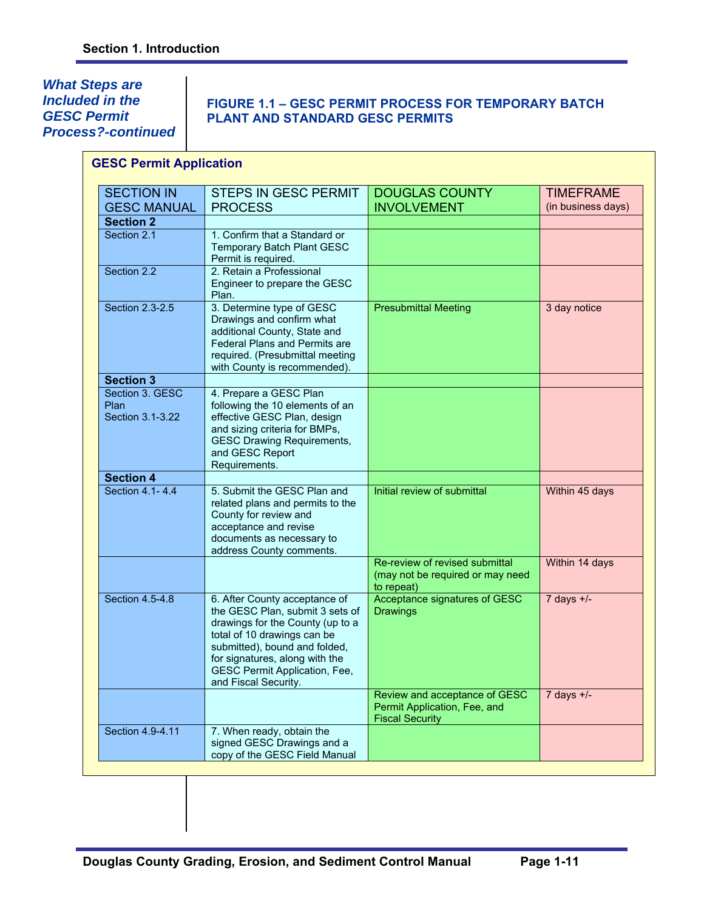*What Steps are Included in the GESC Permit Process?-continued* 

# **FIGURE 1.1 – GESC PERMIT PROCESS FOR TEMPORARY BATCH PLANT AND STANDARD GESC PERMITS**

| <b>SECTION IN</b>                           | <b>STEPS IN GESC PERMIT</b>                                                                                                                                                                                                                                            | <b>DOUGLAS COUNTY</b>                                                                   | <b>TIMEFRAME</b>   |
|---------------------------------------------|------------------------------------------------------------------------------------------------------------------------------------------------------------------------------------------------------------------------------------------------------------------------|-----------------------------------------------------------------------------------------|--------------------|
| <b>GESC MANUAL</b>                          | <b>PROCESS</b>                                                                                                                                                                                                                                                         | <b>INVOLVEMENT</b>                                                                      | (in business days) |
| <b>Section 2</b>                            |                                                                                                                                                                                                                                                                        |                                                                                         |                    |
| Section 2.1                                 | 1. Confirm that a Standard or<br><b>Temporary Batch Plant GESC</b><br>Permit is required.                                                                                                                                                                              |                                                                                         |                    |
| Section 2.2                                 | 2. Retain a Professional<br>Engineer to prepare the GESC<br>Plan.                                                                                                                                                                                                      |                                                                                         |                    |
| Section 2.3-2.5                             | 3. Determine type of GESC<br>Drawings and confirm what<br>additional County, State and<br>Federal Plans and Permits are<br>required. (Presubmittal meeting<br>with County is recommended).                                                                             | <b>Presubmittal Meeting</b>                                                             | 3 day notice       |
| <b>Section 3</b>                            |                                                                                                                                                                                                                                                                        |                                                                                         |                    |
| Section 3. GESC<br>Plan<br>Section 3.1-3.22 | 4. Prepare a GESC Plan<br>following the 10 elements of an<br>effective GESC Plan, design<br>and sizing criteria for BMPs,<br><b>GESC Drawing Requirements,</b><br>and GESC Report<br>Requirements.                                                                     |                                                                                         |                    |
| <b>Section 4</b>                            |                                                                                                                                                                                                                                                                        |                                                                                         |                    |
| Section 4.1-4.4                             | 5. Submit the GESC Plan and<br>related plans and permits to the<br>County for review and<br>acceptance and revise<br>documents as necessary to<br>address County comments.                                                                                             | Initial review of submittal                                                             | Within 45 days     |
|                                             |                                                                                                                                                                                                                                                                        | Re-review of revised submittal<br>(may not be required or may need<br>to repeat)        | Within 14 days     |
| Section 4.5-4.8                             | 6. After County acceptance of<br>the GESC Plan, submit 3 sets of<br>drawings for the County (up to a<br>total of 10 drawings can be<br>submitted), bound and folded,<br>for signatures, along with the<br><b>GESC Permit Application, Fee,</b><br>and Fiscal Security. | Acceptance signatures of GESC<br><b>Drawings</b>                                        | 7 days $+/-$       |
|                                             |                                                                                                                                                                                                                                                                        | Review and acceptance of GESC<br>Permit Application, Fee, and<br><b>Fiscal Security</b> | $7$ days $+/-$     |
| Section 4.9-4.11                            | 7. When ready, obtain the<br>signed GESC Drawings and a<br>copy of the GESC Field Manual                                                                                                                                                                               |                                                                                         |                    |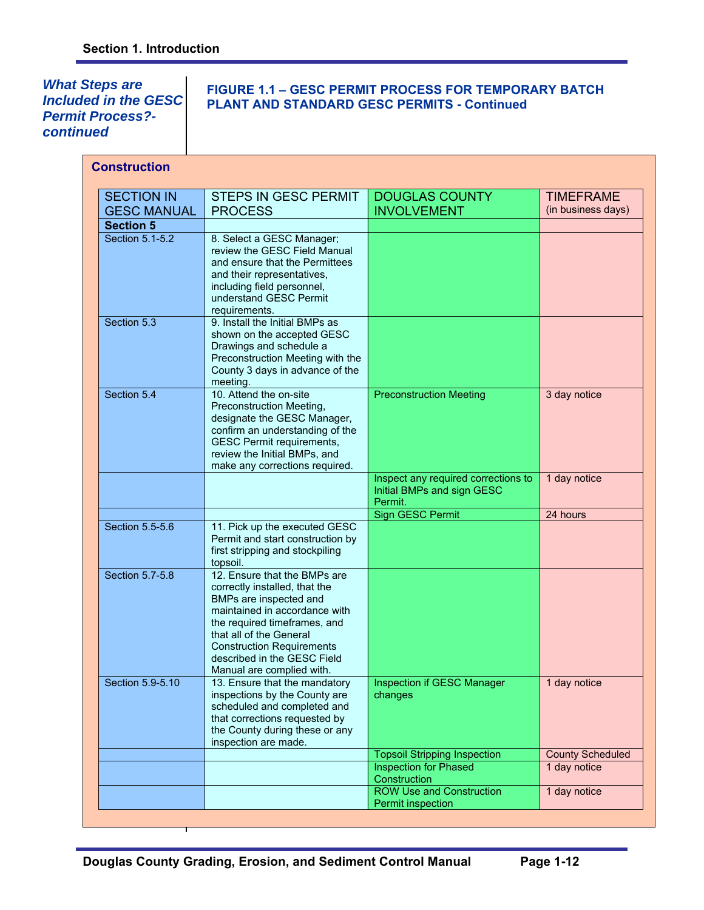*What Steps are Included in the GESC Permit Process? continued* 

## **FIGURE 1.1 – GESC PERMIT PROCESS FOR TEMPORARY BATCH PLANT AND STANDARD GESC PERMITS - Continued**

| <b>Construction</b> |                                                              |                                              |                         |
|---------------------|--------------------------------------------------------------|----------------------------------------------|-------------------------|
| <b>SECTION IN</b>   | <b>STEPS IN GESC PERMIT</b>                                  | <b>DOUGLAS COUNTY</b>                        | <b>TIMEFRAME</b>        |
| <b>GESC MANUAL</b>  | <b>PROCESS</b>                                               | <b>INVOLVEMENT</b>                           | (in business days)      |
| <b>Section 5</b>    |                                                              |                                              |                         |
| Section 5.1-5.2     | 8. Select a GESC Manager;                                    |                                              |                         |
|                     | review the GESC Field Manual                                 |                                              |                         |
|                     | and ensure that the Permittees                               |                                              |                         |
|                     | and their representatives,                                   |                                              |                         |
|                     | including field personnel,                                   |                                              |                         |
|                     | understand GESC Permit<br>requirements.                      |                                              |                         |
| Section 5.3         | 9. Install the Initial BMPs as                               |                                              |                         |
|                     | shown on the accepted GESC                                   |                                              |                         |
|                     | Drawings and schedule a                                      |                                              |                         |
|                     | Preconstruction Meeting with the                             |                                              |                         |
|                     | County 3 days in advance of the                              |                                              |                         |
|                     | meeting.                                                     |                                              |                         |
| Section 5.4         | 10. Attend the on-site<br>Preconstruction Meeting,           | <b>Preconstruction Meeting</b>               | 3 day notice            |
|                     | designate the GESC Manager,                                  |                                              |                         |
|                     | confirm an understanding of the                              |                                              |                         |
|                     | <b>GESC Permit requirements,</b>                             |                                              |                         |
|                     | review the Initial BMPs, and                                 |                                              |                         |
|                     | make any corrections required.                               | Inspect any required corrections to          | 1 day notice            |
|                     |                                                              | Initial BMPs and sign GESC                   |                         |
|                     |                                                              | Permit.                                      |                         |
|                     |                                                              | Sign GESC Permit                             | 24 hours                |
| Section 5.5-5.6     | 11. Pick up the executed GESC                                |                                              |                         |
|                     | Permit and start construction by                             |                                              |                         |
|                     | first stripping and stockpiling<br>topsoil.                  |                                              |                         |
| Section 5.7-5.8     | 12. Ensure that the BMPs are                                 |                                              |                         |
|                     | correctly installed, that the                                |                                              |                         |
|                     | BMPs are inspected and                                       |                                              |                         |
|                     | maintained in accordance with                                |                                              |                         |
|                     | the required timeframes, and<br>that all of the General      |                                              |                         |
|                     | <b>Construction Requirements</b>                             |                                              |                         |
|                     | described in the GESC Field                                  |                                              |                         |
|                     | Manual are complied with.                                    |                                              |                         |
| Section 5.9-5.10    | 13. Ensure that the mandatory                                | Inspection if GESC Manager                   | 1 day notice            |
|                     | inspections by the County are<br>scheduled and completed and | changes                                      |                         |
|                     | that corrections requested by                                |                                              |                         |
|                     | the County during these or any                               |                                              |                         |
|                     | inspection are made.                                         |                                              |                         |
|                     |                                                              | <b>Topsoil Stripping Inspection</b>          | <b>County Scheduled</b> |
|                     |                                                              | <b>Inspection for Phased</b><br>Construction | 1 day notice            |
|                     |                                                              | <b>ROW Use and Construction</b>              | 1 day notice            |
|                     |                                                              | Permit inspection                            |                         |
|                     |                                                              |                                              |                         |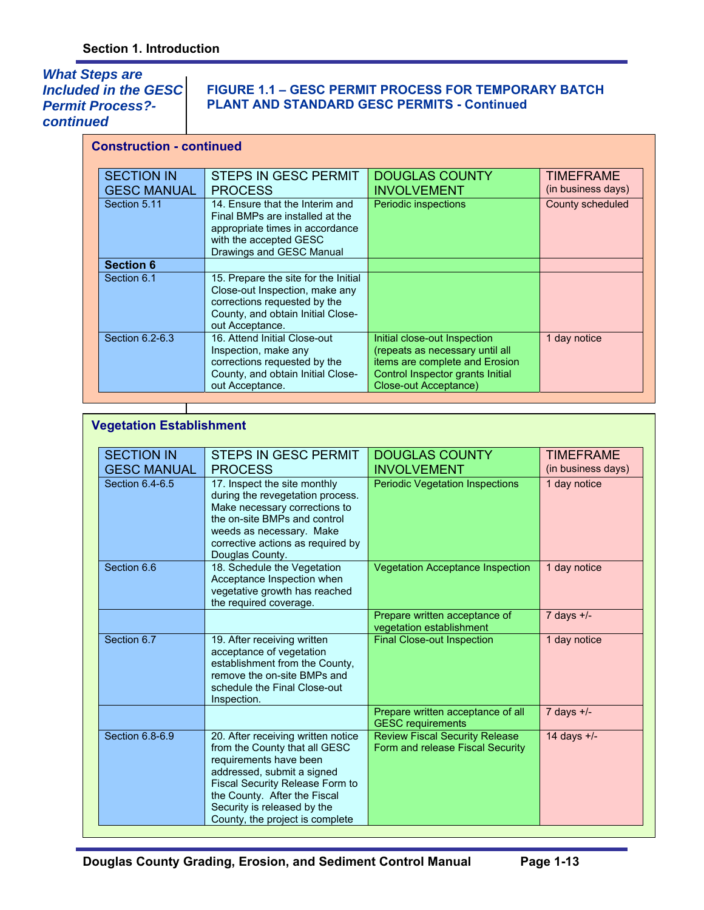# *What Steps are Included in the GESC Permit Process? continued*

## **FIGURE 1.1 – GESC PERMIT PROCESS FOR TEMPORARY BATCH PLANT AND STANDARD GESC PERMITS - Continued**

| <b>Construction - continued</b> |                                                                                                                                                                |                                                                                                                                                                |                    |
|---------------------------------|----------------------------------------------------------------------------------------------------------------------------------------------------------------|----------------------------------------------------------------------------------------------------------------------------------------------------------------|--------------------|
| <b>SECTION IN</b>               | <b>STEPS IN GESC PERMIT</b>                                                                                                                                    | <b>DOUGLAS COUNTY</b>                                                                                                                                          | <b>TIMEFRAME</b>   |
| <b>GESC MANUAL</b>              | <b>PROCESS</b>                                                                                                                                                 | <b>INVOLVEMENT</b>                                                                                                                                             | (in business days) |
| Section 5.11                    | 14. Fnsure that the Interim and<br>Final BMPs are installed at the<br>appropriate times in accordance<br>with the accepted GESC<br>Drawings and GESC Manual    | Periodic inspections                                                                                                                                           | County scheduled   |
| <b>Section 6</b>                |                                                                                                                                                                |                                                                                                                                                                |                    |
| Section 6.1                     | 15. Prepare the site for the Initial<br>Close-out Inspection, make any<br>corrections requested by the<br>County, and obtain Initial Close-<br>out Acceptance. |                                                                                                                                                                |                    |
| Section 6.2-6.3                 | 16. Attend Initial Close-out<br>Inspection, make any<br>corrections requested by the<br>County, and obtain Initial Close-<br>out Acceptance.                   | Initial close-out Inspection<br>(repeats as necessary until all<br>items are complete and Erosion<br>Control Inspector grants Initial<br>Close-out Acceptance) | 1 day notice       |

| <b>Vegetation Establishment</b>         |                                                                                                                                                                                                                                                                         |                                                                           |                                        |
|-----------------------------------------|-------------------------------------------------------------------------------------------------------------------------------------------------------------------------------------------------------------------------------------------------------------------------|---------------------------------------------------------------------------|----------------------------------------|
| <b>SECTION IN</b><br><b>GESC MANUAL</b> | STEPS IN GESC PERMIT<br><b>PROCESS</b>                                                                                                                                                                                                                                  | <b>DOUGLAS COUNTY</b><br><b>INVOLVEMENT</b>                               | <b>TIMEFRAME</b><br>(in business days) |
| Section 6.4-6.5                         | 17. Inspect the site monthly<br>during the revegetation process.<br>Make necessary corrections to<br>the on-site BMPs and control<br>weeds as necessary. Make<br>corrective actions as required by<br>Douglas County.                                                   | <b>Periodic Vegetation Inspections</b>                                    | 1 day notice                           |
| Section 6.6                             | 18. Schedule the Vegetation<br>Acceptance Inspection when<br>vegetative growth has reached<br>the required coverage.                                                                                                                                                    | <b>Vegetation Acceptance Inspection</b>                                   | 1 day notice                           |
|                                         |                                                                                                                                                                                                                                                                         | Prepare written acceptance of<br>vegetation establishment                 | $7$ days $+/-$                         |
| Section 6.7                             | 19. After receiving written<br>acceptance of vegetation<br>establishment from the County,<br>remove the on-site BMPs and<br>schedule the Final Close-out<br>Inspection.                                                                                                 | <b>Final Close-out Inspection</b>                                         | 1 day notice                           |
|                                         |                                                                                                                                                                                                                                                                         | Prepare written acceptance of all<br><b>GESC</b> requirements             | 7 days $+/-$                           |
| Section 6.8-6.9                         | 20. After receiving written notice<br>from the County that all GESC<br>requirements have been<br>addressed, submit a signed<br><b>Fiscal Security Release Form to</b><br>the County. After the Fiscal<br>Security is released by the<br>County, the project is complete | <b>Review Fiscal Security Release</b><br>Form and release Fiscal Security | 14 days $+/-$                          |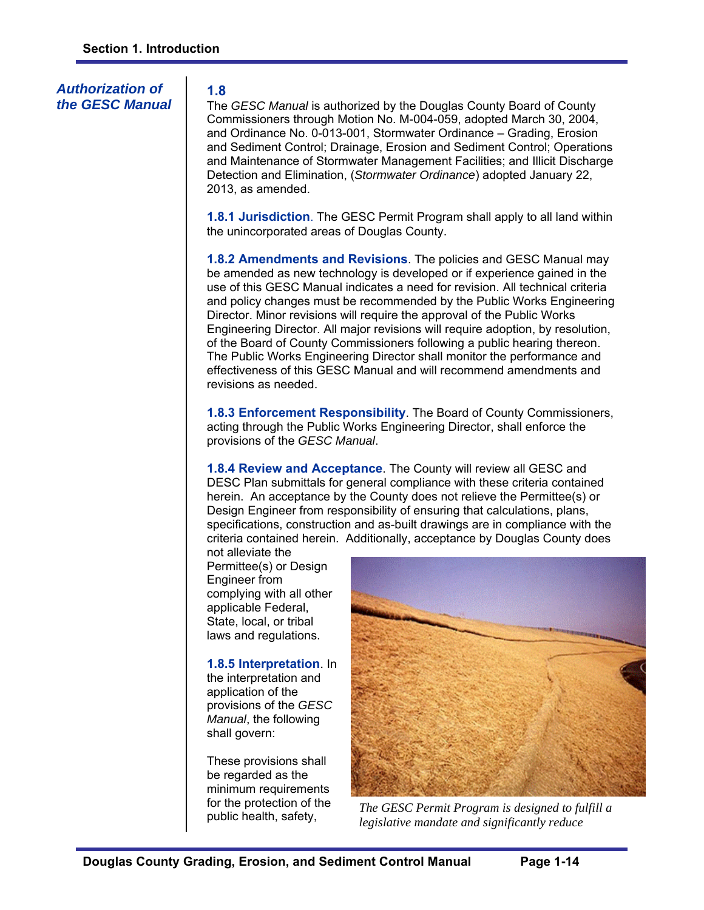## *Authorization of the GESC Manual*

## **1.8**

The *GESC Manual* is authorized by the Douglas County Board of County Commissioners through Motion No. M-004-059, adopted March 30, 2004, and Ordinance No. 0-013-001, Stormwater Ordinance – Grading, Erosion and Sediment Control; Drainage, Erosion and Sediment Control; Operations and Maintenance of Stormwater Management Facilities; and Illicit Discharge Detection and Elimination, (*Stormwater Ordinance*) adopted January 22, 2013, as amended.

**1.8.1 Jurisdiction**. The GESC Permit Program shall apply to all land within the unincorporated areas of Douglas County.

**1.8.2 Amendments and Revisions**. The policies and GESC Manual may be amended as new technology is developed or if experience gained in the use of this GESC Manual indicates a need for revision. All technical criteria and policy changes must be recommended by the Public Works Engineering Director. Minor revisions will require the approval of the Public Works Engineering Director. All major revisions will require adoption, by resolution, of the Board of County Commissioners following a public hearing thereon. The Public Works Engineering Director shall monitor the performance and effectiveness of this GESC Manual and will recommend amendments and revisions as needed.

**1.8.3 Enforcement Responsibility**. The Board of County Commissioners, acting through the Public Works Engineering Director, shall enforce the provisions of the *GESC Manual*.

**1.8.4 Review and Acceptance**. The County will review all GESC and DESC Plan submittals for general compliance with these criteria contained herein. An acceptance by the County does not relieve the Permittee(s) or Design Engineer from responsibility of ensuring that calculations, plans, specifications, construction and as-built drawings are in compliance with the criteria contained herein. Additionally, acceptance by Douglas County does

not alleviate the Permittee(s) or Design Engineer from complying with all other applicable Federal, State, local, or tribal laws and regulations.

## **1.8.5 Interpretation**. In

the interpretation and application of the provisions of the *GESC Manual*, the following shall govern:

These provisions shall be regarded as the minimum requirements for the protection of the public health, safety,



*The GESC Permit Program is designed to fulfill a legislative mandate and significantly reduce*